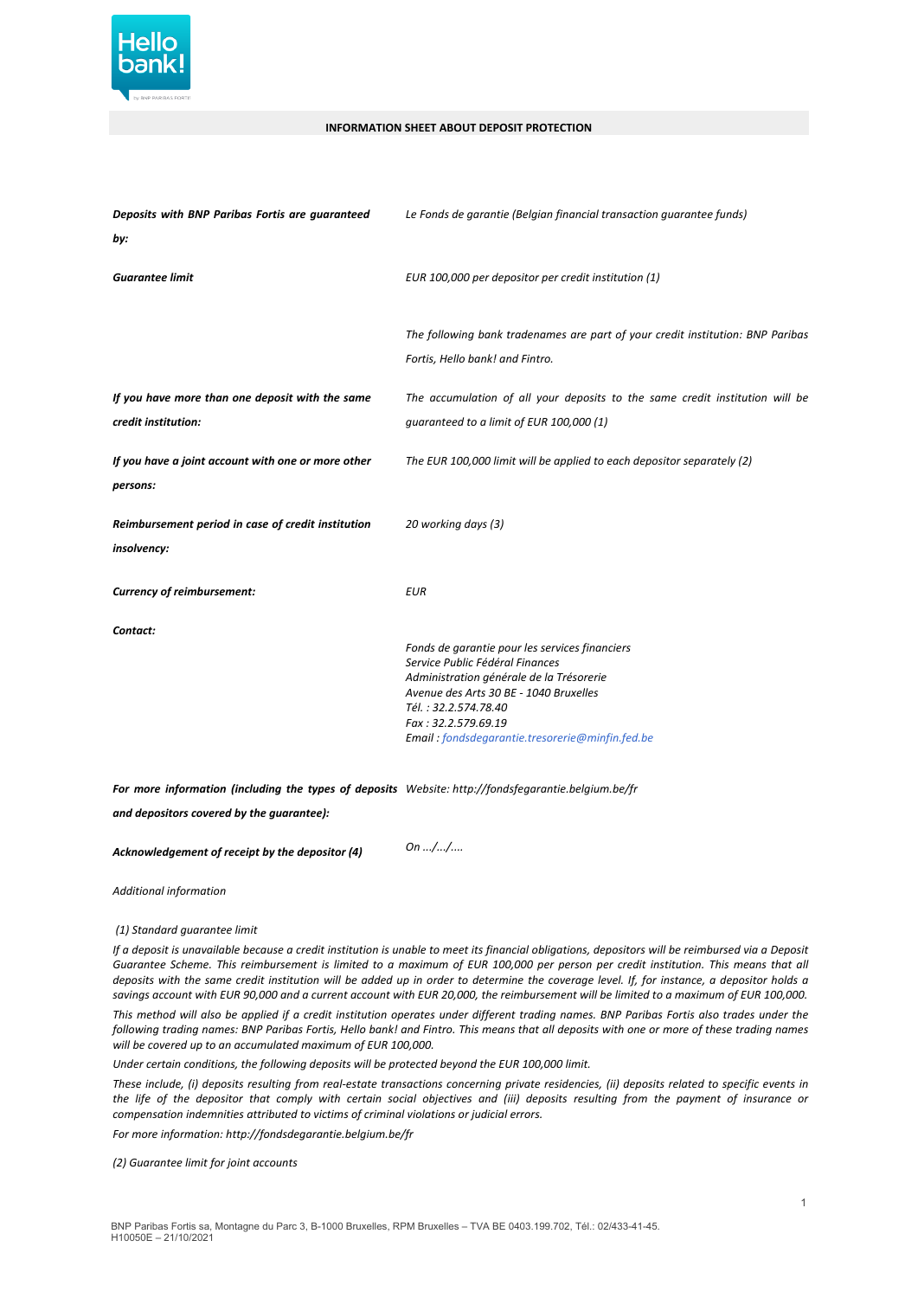

## **INFORMATION SHEET ABOUT DEPOSIT PROTECTION**

| Deposits with BNP Paribas Fortis are guaranteed                        | Le Fonds de garantie (Belgian financial transaction guarantee funds)                                                                                                                                                                                                      |
|------------------------------------------------------------------------|---------------------------------------------------------------------------------------------------------------------------------------------------------------------------------------------------------------------------------------------------------------------------|
| by:                                                                    |                                                                                                                                                                                                                                                                           |
| <b>Guarantee limit</b>                                                 | EUR 100,000 per depositor per credit institution (1)                                                                                                                                                                                                                      |
|                                                                        | The following bank tradenames are part of your credit institution: BNP Paribas<br>Fortis, Hello bank! and Fintro.                                                                                                                                                         |
| If you have more than one deposit with the same<br>credit institution: | The accumulation of all your deposits to the same credit institution will be<br>quaranteed to a limit of EUR 100,000 (1)                                                                                                                                                  |
| If you have a joint account with one or more other<br>persons:         | The EUR 100,000 limit will be applied to each depositor separately (2)                                                                                                                                                                                                    |
| Reimbursement period in case of credit institution<br>insolvency:      | 20 working days (3)                                                                                                                                                                                                                                                       |
| Currency of reimbursement:                                             | <b>EUR</b>                                                                                                                                                                                                                                                                |
| Contact:                                                               | Fonds de garantie pour les services financiers<br>Service Public Fédéral Finances<br>Administration générale de la Trésorerie<br>Avenue des Arts 30 BE - 1040 Bruxelles<br>Tél.: 32.2.574.78.40<br>Fax: 32.2.579.69.19<br>Email: fondsdegarantie.tresorerie@minfin.fed.be |

*For more information (including the types of deposits Website: http://fondsfegarantie.belgium.be/fr*

*and depositors covered by the guarantee):*

*Acknowledgement of receipt by the depositor (4) On .../.../....*

*Additional information*

*(1) Standard guarantee limit*

If a deposit is unavailable because a credit institution is unable to meet its financial obligations, depositors will be reimbursed via a Deposit Guarantee Scheme. This reimbursement is limited to a maximum of EUR 100,000 per person per credit institution. This means that all deposits with the same credit institution will be added up in order to determine the coverage level. If, for instance, a depositor holds a savings account with EUR 90,000 and a current account with EUR 20,000, the reimbursement will be limited to a maximum of EUR 100,000.

This method will also be applied if a credit institution operates under different trading names. BNP Paribas Fortis also trades under the following trading names: BNP Paribas Fortis, Hello bank! and Fintro. This means that all deposits with one or more of these trading names *will be covered up to an accumulated maximum of EUR 100,000.*

*Under certain conditions, the following deposits will be protected beyond the EUR 100,000 limit.*

These include, (i) deposits resulting from real-estate transactions concerning private residencies, (ii) deposits related to specific events in the life of the depositor that comply with certain social objectives and (iii) deposits resulting from the payment of insurance or *compensation indemnities attributed to victims of criminal violations or judicial errors.*

*For more information: http://fondsdegarantie.belgium.be/fr*

*(2) Guarantee limit for joint accounts*